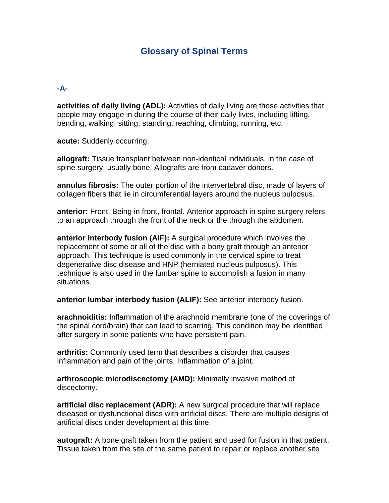# **Glossary of Spinal Terms**

#### **-A-**

**activities of daily living (ADL):** Activities of daily living are those activities that people may engage in during the course of their daily lives, including lifting, bending, walking, sitting, standing, reaching, climbing, running, etc.

**acute:** Suddenly occurring.

**allograft:** Tissue transplant between non-identical individuals, in the case of spine surgery, usually bone. Allografts are from cadaver donors.

**annulus fibrosis:** The outer portion of the intervertebral disc, made of layers of collagen fibers that lie in circumferential layers around the nucleus pulposus.

**anterior:** Front. Being in front, frontal. Anterior approach in spine surgery refers to an approach through the front of the neck or the through the abdomen.

**anterior interbody fusion (AIF):** A surgical procedure which involves the replacement of some or all of the disc with a bony graft through an anterior approach. This technique is used commonly in the cervical spine to treat degenerative disc disease and HNP (herniated nucleus pulposus). This technique is also used in the lumbar spine to accomplish a fusion in many situations.

**anterior lumbar interbody fusion (ALIF):** See anterior interbody fusion.

**arachnoiditis:** Inflammation of the arachnoid membrane (one of the coverings of the spinal cord/brain) that can lead to scarring. This condition may be identified after surgery in some patients who have persistent pain.

**arthritis:** Commonly used term that describes a disorder that causes inflammation and pain of the joints. Inflammation of a joint.

**arthroscopic microdiscectomy (AMD):** Minimally invasive method of discectomy.

**artificial disc replacement (ADR):** A new surgical procedure that will replace diseased or dysfunctional discs with artificial discs. There are multiple designs of artificial discs under development at this time.

**autograft:** A bone graft taken from the patient and used for fusion in that patient. Tissue taken from the site of the same patient to repair or replace another site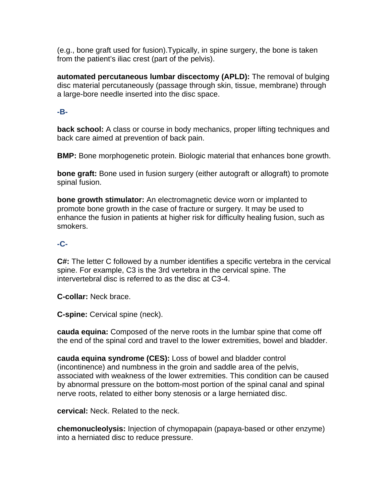(e.g., bone graft used for fusion).Typically, in spine surgery, the bone is taken from the patient's iliac crest (part of the pelvis).

**automated percutaneous lumbar discectomy (APLD):** The removal of bulging disc material percutaneously (passage through skin, tissue, membrane) through a large-bore needle inserted into the disc space.

### **-B-**

**back school:** A class or course in body mechanics, proper lifting techniques and back care aimed at prevention of back pain.

**BMP:** Bone morphogenetic protein. Biologic material that enhances bone growth.

**bone graft:** Bone used in fusion surgery (either autograft or allograft) to promote spinal fusion.

**bone growth stimulator:** An electromagnetic device worn or implanted to promote bone growth in the case of fracture or surgery. It may be used to enhance the fusion in patients at higher risk for difficulty healing fusion, such as smokers.

## **-C-**

**C#:** The letter C followed by a number identifies a specific vertebra in the cervical spine. For example, C3 is the 3rd vertebra in the cervical spine. The intervertebral disc is referred to as the disc at C3-4.

**C-collar:** Neck brace.

**C-spine:** Cervical spine (neck).

**cauda equina:** Composed of the nerve roots in the lumbar spine that come off the end of the spinal cord and travel to the lower extremities, bowel and bladder.

**cauda equina syndrome (CES):** Loss of bowel and bladder control (incontinence) and numbness in the groin and saddle area of the pelvis, associated with weakness of the lower extremities. This condition can be caused by abnormal pressure on the bottom-most portion of the spinal canal and spinal nerve roots, related to either bony stenosis or a large herniated disc.

**cervical:** Neck. Related to the neck.

**chemonucleolysis:** Injection of chymopapain (papaya-based or other enzyme) into a herniated disc to reduce pressure.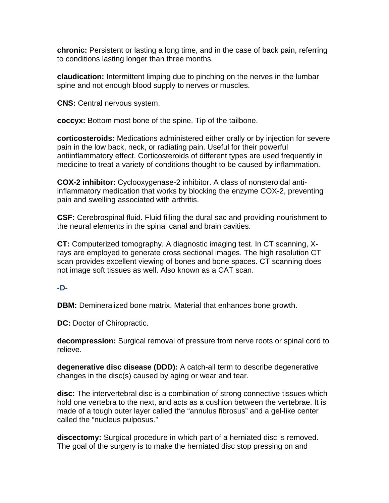**chronic:** Persistent or lasting a long time, and in the case of back pain, referring to conditions lasting longer than three months.

**claudication:** Intermittent limping due to pinching on the nerves in the lumbar spine and not enough blood supply to nerves or muscles.

**CNS:** Central nervous system.

**coccyx:** Bottom most bone of the spine. Tip of the tailbone.

**corticosteroids:** Medications administered either orally or by injection for severe pain in the low back, neck, or radiating pain. Useful for their powerful antiinflammatory effect. Corticosteroids of different types are used frequently in medicine to treat a variety of conditions thought to be caused by inflammation.

**COX-2 inhibitor:** Cyclooxygenase-2 inhibitor. A class of nonsteroidal antiinflammatory medication that works by blocking the enzyme COX-2, preventing pain and swelling associated with arthritis.

**CSF:** Cerebrospinal fluid. Fluid filling the dural sac and providing nourishment to the neural elements in the spinal canal and brain cavities.

**CT:** Computerized tomography. A diagnostic imaging test. In CT scanning, Xrays are employed to generate cross sectional images. The high resolution CT scan provides excellent viewing of bones and bone spaces. CT scanning does not image soft tissues as well. Also known as a CAT scan.

### **-D-**

**DBM:** Demineralized bone matrix. Material that enhances bone growth.

**DC:** Doctor of Chiropractic.

**decompression:** Surgical removal of pressure from nerve roots or spinal cord to relieve.

**degenerative disc disease (DDD):** A catch-all term to describe degenerative changes in the disc(s) caused by aging or wear and tear.

**disc:** The intervertebral disc is a combination of strong connective tissues which hold one vertebra to the next, and acts as a cushion between the vertebrae. It is made of a tough outer layer called the "annulus fibrosus" and a gel-like center called the "nucleus pulposus."

**discectomy:** Surgical procedure in which part of a herniated disc is removed. The goal of the surgery is to make the herniated disc stop pressing on and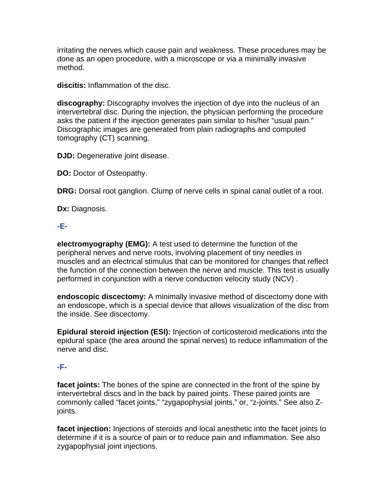irritating the nerves which cause pain and weakness. These procedures may be done as an open procedure, with a microscope or via a minimally invasive method.

**discitis:** Inflammation of the disc.

**discography:** Discography involves the injection of dye into the nucleus of an intervertebral disc. During the injection, the physician performing the procedure asks the patient if the injection generates pain similar to his/her "usual pain." Discographic images are generated from plain radiographs and computed tomography (CT) scanning.

**DJD:** Degenerative joint disease.

**DO:** Doctor of Osteopathy.

**DRG:** Dorsal root ganglion. Clump of nerve cells in spinal canal outlet of a root.

**Dx:** Diagnosis.

### **-E-**

**electromyography (EMG):** A test used to determine the function of the peripheral nerves and nerve roots, involving placement of tiny needles in muscles and an electrical stimulus that can be monitored for changes that reflect the function of the connection between the nerve and muscle. This test is usually performed in conjunction with a nerve conduction velocity study (NCV) .

**endoscopic discectomy:** A minimally invasive method of discectomy done with an endoscope, which is a special device that allows visualization of the disc from the inside. See discectomy.

**Epidural steroid injection (ESI):** Injection of corticosteroid medications into the epidural space (the area around the spinal nerves) to reduce inflammation of the nerve and disc.

## **-F-**

**facet joints:** The bones of the spine are connected in the front of the spine by intervertebral discs and in the back by paired joints. These paired joints are commonly called "facet joints," "zygapophysial joints," or, "z-joints." See also Zjoints.

**facet injection:** Injections of steroids and local anesthetic into the facet joints to determine if it is a source of pain or to reduce pain and inflammation. See also zygapophysial joint injections.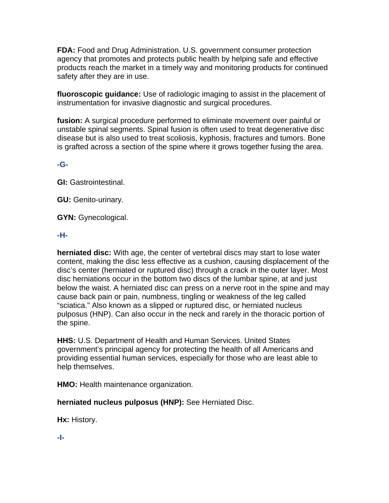**FDA:** Food and Drug Administration. U.S. government consumer protection agency that promotes and protects public health by helping safe and effective products reach the market in a timely way and monitoring products for continued safety after they are in use.

**fluoroscopic guidance:** Use of radiologic imaging to assist in the placement of instrumentation for invasive diagnostic and surgical procedures.

**fusion:** A surgical procedure performed to eliminate movement over painful or unstable spinal segments. Spinal fusion is often used to treat degenerative disc disease but is also used to treat scoliosis, kyphosis, fractures and tumors. Bone is grafted across a section of the spine where it grows together fusing the area.

### **-G-**

**GI:** Gastrointestinal.

**GU:** Genito-urinary.

**GYN:** Gynecological.

### **-H-**

**herniated disc:** With age, the center of vertebral discs may start to lose water content, making the disc less effective as a cushion, causing displacement of the disc's center (herniated or ruptured disc) through a crack in the outer layer. Most disc herniations occur in the bottom two discs of the lumbar spine, at and just below the waist. A herniated disc can press on a nerve root in the spine and may cause back pain or pain, numbness, tingling or weakness of the leg called "sciatica." Also known as a slipped or ruptured disc, or herniated nucleus pulposus (HNP). Can also occur in the neck and rarely in the thoracic portion of the spine.

**HHS:** U.S. Department of Health and Human Services. United States government's principal agency for protecting the health of all Americans and providing essential human services, especially for those who are least able to help themselves.

**HMO:** Health maintenance organization.

**herniated nucleus pulposus (HNP):** See Herniated Disc.

**Hx:** History.

**-I-**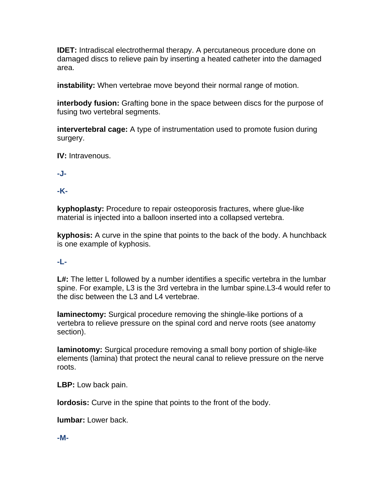**IDET:** Intradiscal electrothermal therapy. A percutaneous procedure done on damaged discs to relieve pain by inserting a heated catheter into the damaged area.

**instability:** When vertebrae move beyond their normal range of motion.

**interbody fusion:** Grafting bone in the space between discs for the purpose of fusing two vertebral segments.

**intervertebral cage:** A type of instrumentation used to promote fusion during surgery.

**IV:** Intravenous.

**-J-**

**-K-**

**kyphoplasty:** Procedure to repair osteoporosis fractures, where glue-like material is injected into a balloon inserted into a collapsed vertebra.

**kyphosis:** A curve in the spine that points to the back of the body. A hunchback is one example of kyphosis.

## **-L-**

L#: The letter L followed by a number identifies a specific vertebra in the lumbar spine. For example, L3 is the 3rd vertebra in the lumbar spine.L3-4 would refer to the disc between the L3 and L4 vertebrae.

**laminectomy:** Surgical procedure removing the shingle-like portions of a vertebra to relieve pressure on the spinal cord and nerve roots (see anatomy section).

**laminotomy:** Surgical procedure removing a small bony portion of shigle-like elements (lamina) that protect the neural canal to relieve pressure on the nerve roots.

**LBP:** Low back pain.

**lordosis:** Curve in the spine that points to the front of the body.

**lumbar:** Lower back.

**-M-**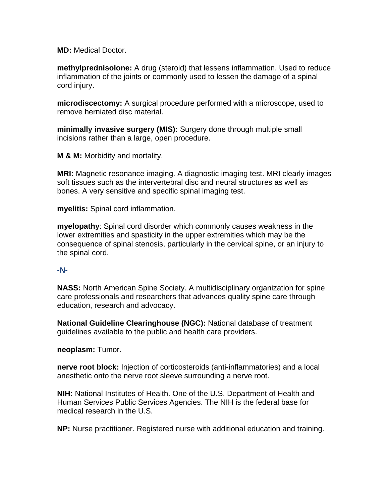**MD:** Medical Doctor.

**methylprednisolone:** A drug (steroid) that lessens inflammation. Used to reduce inflammation of the joints or commonly used to lessen the damage of a spinal cord injury.

**microdiscectomy:** A surgical procedure performed with a microscope, used to remove herniated disc material.

**minimally invasive surgery (MIS):** Surgery done through multiple small incisions rather than a large, open procedure.

**M & M:** Morbidity and mortality.

**MRI:** Magnetic resonance imaging. A diagnostic imaging test. MRI clearly images soft tissues such as the intervertebral disc and neural structures as well as bones. A very sensitive and specific spinal imaging test.

**myelitis:** Spinal cord inflammation.

**myelopathy**: Spinal cord disorder which commonly causes weakness in the lower extremities and spasticity in the upper extremities which may be the consequence of spinal stenosis, particularly in the cervical spine, or an injury to the spinal cord.

#### **-N-**

**NASS:** North American Spine Society. A multidisciplinary organization for spine care professionals and researchers that advances quality spine care through education, research and advocacy.

**National Guideline Clearinghouse (NGC):** National database of treatment guidelines available to the public and health care providers.

**neoplasm:** Tumor.

**nerve root block:** Injection of corticosteroids (anti-inflammatories) and a local anesthetic onto the nerve root sleeve surrounding a nerve root.

**NIH:** National Institutes of Health. One of the U.S. Department of Health and Human Services Public Services Agencies. The NIH is the federal base for medical research in the U.S.

**NP:** Nurse practitioner. Registered nurse with additional education and training.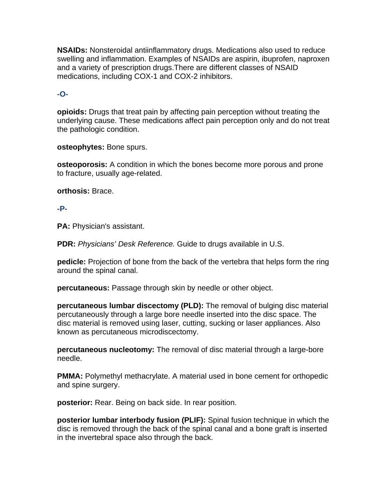**NSAIDs:** Nonsteroidal antiinflammatory drugs. Medications also used to reduce swelling and inflammation. Examples of NSAIDs are aspirin, ibuprofen, naproxen and a variety of prescription drugs.There are different classes of NSAID medications, including COX-1 and COX-2 inhibitors.

### **-O-**

**opioids:** Drugs that treat pain by affecting pain perception without treating the underlying cause. These medications affect pain perception only and do not treat the pathologic condition.

**osteophytes:** Bone spurs.

**osteoporosis:** A condition in which the bones become more porous and prone to fracture, usually age-related.

**orthosis:** Brace.

### **-P-**

**PA:** Physician's assistant.

**PDR:** *Physicians' Desk Reference.* Guide to drugs available in U.S.

**pedicle:** Projection of bone from the back of the vertebra that helps form the ring around the spinal canal.

**percutaneous:** Passage through skin by needle or other object.

**percutaneous lumbar discectomy (PLD):** The removal of bulging disc material percutaneously through a large bore needle inserted into the disc space. The disc material is removed using laser, cutting, sucking or laser appliances. Also known as percutaneous microdiscectomy.

**percutaneous nucleotomy:** The removal of disc material through a large-bore needle.

**PMMA:** Polymethyl methacrylate. A material used in bone cement for orthopedic and spine surgery.

**posterior:** Rear. Being on back side. In rear position.

**posterior lumbar interbody fusion (PLIF):** Spinal fusion technique in which the disc is removed through the back of the spinal canal and a bone graft is inserted in the invertebral space also through the back.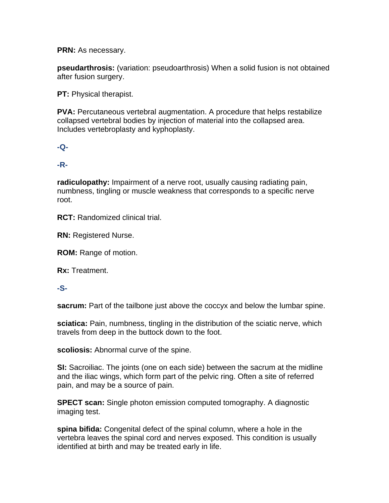**PRN:** As necessary.

**pseudarthrosis:** (variation: pseudoarthrosis) When a solid fusion is not obtained after fusion surgery.

**PT:** Physical therapist.

**PVA:** Percutaneous vertebral augmentation. A procedure that helps restabilize collapsed vertebral bodies by injection of material into the collapsed area. Includes vertebroplasty and kyphoplasty.

**-Q-**

### **-R-**

**radiculopathy:** Impairment of a nerve root, usually causing radiating pain, numbness, tingling or muscle weakness that corresponds to a specific nerve root.

**RCT:** Randomized clinical trial.

**RN:** Registered Nurse.

**ROM:** Range of motion.

**Rx:** Treatment.

### **-S-**

**sacrum:** Part of the tailbone just above the coccyx and below the lumbar spine.

**sciatica:** Pain, numbness, tingling in the distribution of the sciatic nerve, which travels from deep in the buttock down to the foot.

**scoliosis:** Abnormal curve of the spine.

**SI:** Sacroiliac. The joints (one on each side) between the sacrum at the midline and the iliac wings, which form part of the pelvic ring. Often a site of referred pain, and may be a source of pain.

**SPECT scan:** Single photon emission computed tomography. A diagnostic imaging test.

**spina bifida:** Congenital defect of the spinal column, where a hole in the vertebra leaves the spinal cord and nerves exposed. This condition is usually identified at birth and may be treated early in life.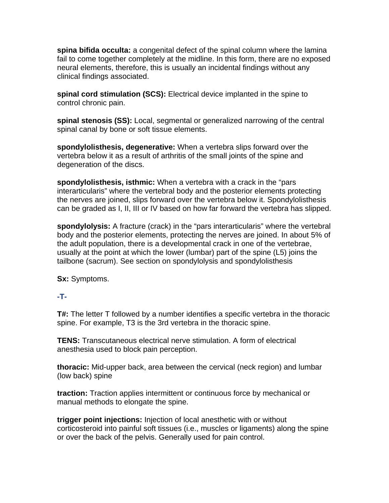**spina bifida occulta:** a congenital defect of the spinal column where the lamina fail to come together completely at the midline. In this form, there are no exposed neural elements, therefore, this is usually an incidental findings without any clinical findings associated.

**spinal cord stimulation (SCS):** Electrical device implanted in the spine to control chronic pain.

**spinal stenosis (SS):** Local, segmental or generalized narrowing of the central spinal canal by bone or soft tissue elements.

**spondylolisthesis, degenerative:** When a vertebra slips forward over the vertebra below it as a result of arthritis of the small joints of the spine and degeneration of the discs.

**spondylolisthesis, isthmic:** When a vertebra with a crack in the "pars interarticularis" where the vertebral body and the posterior elements protecting the nerves are joined, slips forward over the vertebra below it. Spondylolisthesis can be graded as I, II, III or IV based on how far forward the vertebra has slipped.

**spondylolysis:** A fracture (crack) in the "pars interarticularis" where the vertebral body and the posterior elements, protecting the nerves are joined. In about 5% of the adult population, there is a developmental crack in one of the vertebrae, usually at the point at which the lower (lumbar) part of the spine (L5) joins the tailbone (sacrum). See section on spondylolysis and spondylolisthesis

**Sx:** Symptoms.

## **-T-**

**T#:** The letter T followed by a number identifies a specific vertebra in the thoracic spine. For example, T3 is the 3rd vertebra in the thoracic spine.

**TENS:** Transcutaneous electrical nerve stimulation. A form of electrical anesthesia used to block pain perception.

**thoracic:** Mid-upper back, area between the cervical (neck region) and lumbar (low back) spine

**traction:** Traction applies intermittent or continuous force by mechanical or manual methods to elongate the spine.

**trigger point injections:** Injection of local anesthetic with or without corticosteroid into painful soft tissues (i.e., muscles or ligaments) along the spine or over the back of the pelvis. Generally used for pain control.